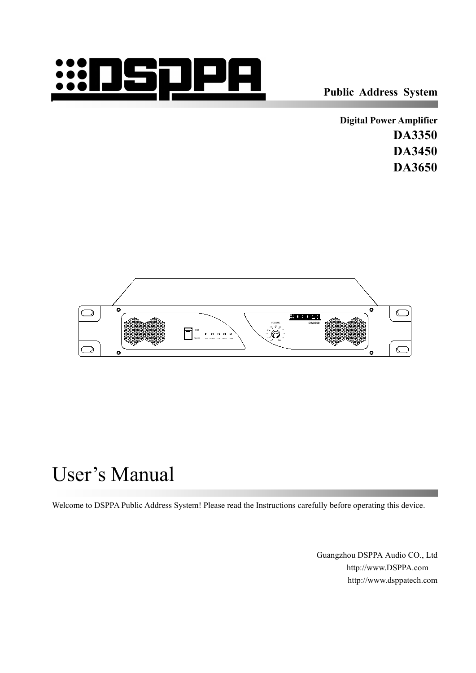

**Public Address System**

**Digital Power Amplifier DA3350 DA3450 DA3650**



# User's Manual

Welcome to DSPPA Public Address System! Please read the Instructions carefully before operating this device.

Guangzhou DSPPA Audio CO., Ltd [http://www.DSPPA.com](http://www.dsppa.com) http://www.dsppatech.com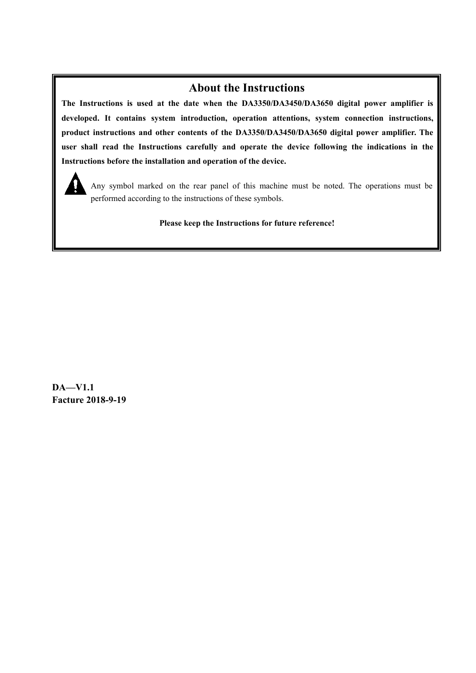#### **About the Instructions**

**The Instructions is used at the date when the DA3350/DA3450/DA3650 digital power amplifier is developed. It contains system introduction, operation attentions, system connectioninstructions, product instructions and other contents of the DA3350/DA3450/DA3650 digital power amplifier. The user shall read the Instructions carefully and operate the device following the indications in the Instructions before the installation and operation of the device.**



Any symbol marked on the rear panel of this machine must be noted. The operations must be performed according to the instructions of these symbols.

**Please keep the Instructions for future reference!**

**DA—V1.1 Facture 2018-9-19**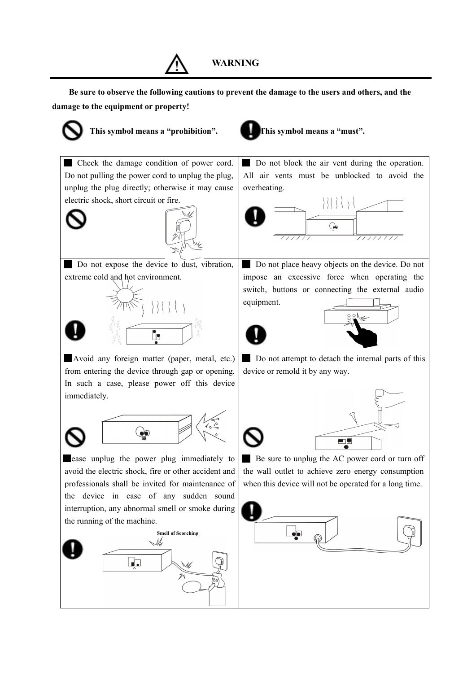

**WARNING**

**Be sure to observe the following cautions to prevent the damage to the users and others, and the damage to the equipment or property!**

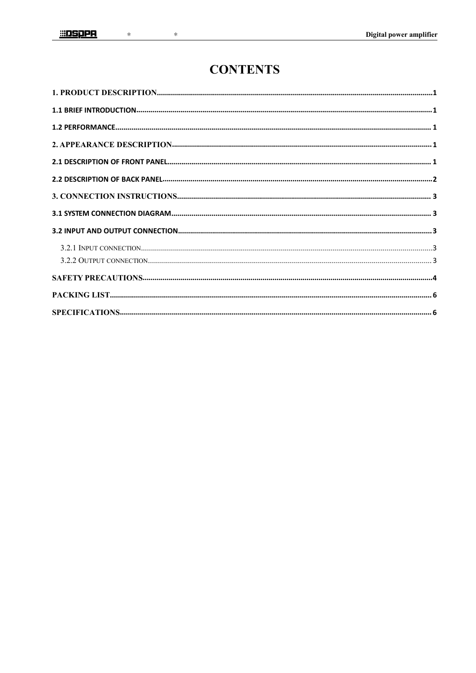$\ast$ 

### **CONTENTS**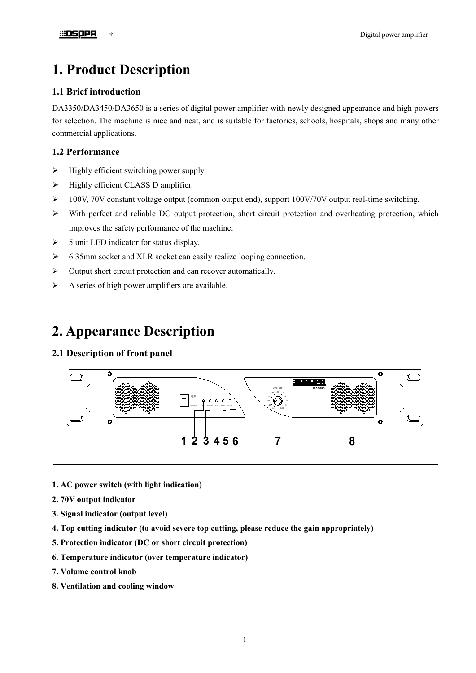### <span id="page-4-0"></span>**1. Product Description**

#### <span id="page-4-1"></span>**1.1 Brief introduction**

DA3350/DA3450/DA3650 is a series of digital power amplifier with newly designed appearance and high powers for selection. The machine is nice and neat, and is suitable for factories, schools, hospitals, shops and many other commercial applications.

#### <span id="page-4-2"></span>**1.2 Performance**

- $\triangleright$  Highly efficient switching power supply.
- $\triangleright$  Highly efficient CLASS D amplifier.
- $\geq 100V$ , 70V constant voltage output (common output end), support 100V/70V output real-time switching.
- With perfect and reliable DC output protection, short circuit protection and overheating protection, which improves the safety performance of the machine.
- $\geq$  5 unit LED indicator for status display.
- 6.35mm socket and XLR socket can easily realize looping connection.
- $\triangleright$  Output short circuit protection and can recover automatically.
- $\triangleright$  A series of high power amplifiers are available.

### <span id="page-4-3"></span>**2. Appearance Description**

#### <span id="page-4-4"></span>**2.1 Description of front panel**



- **1. AC power switch (with light indication)**
- **2. 70V output indicator**
- **3. Signal indicator (output level)**
- **4. Top cutting indicator (to avoid severe top cutting, please reduce the gain appropriately)**
- **5. Protection indicator (DC or short circuit protection)**
- **6. Temperature indicator (over temperature indicator)**
- **7. Volume control knob**
- **8. Ventilation and cooling window**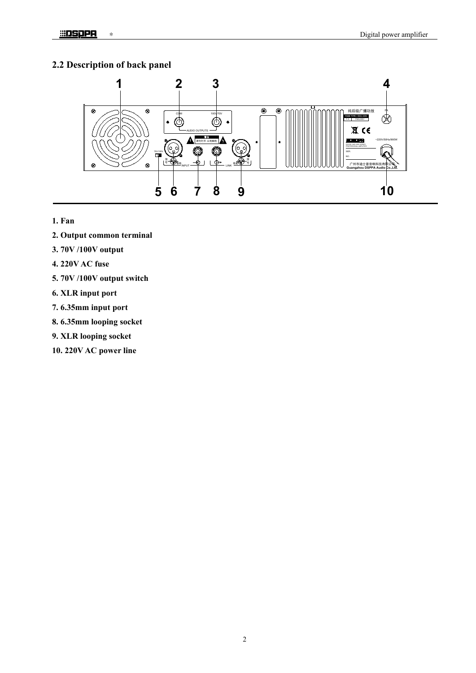#### <span id="page-5-0"></span>**2.2 Description of back panel**



- **1. Fan**
- **2. Output common terminal**
- **3. 70V /100V output**
- **4. 220V AC fuse**
- **5. 70V /100V output switch**
- **6. XLR input port**
- **7. 6.35mm input port**
- **8. 6.35mm looping socket**
- **9. XLR looping socket**
- **10. 220V AC power line**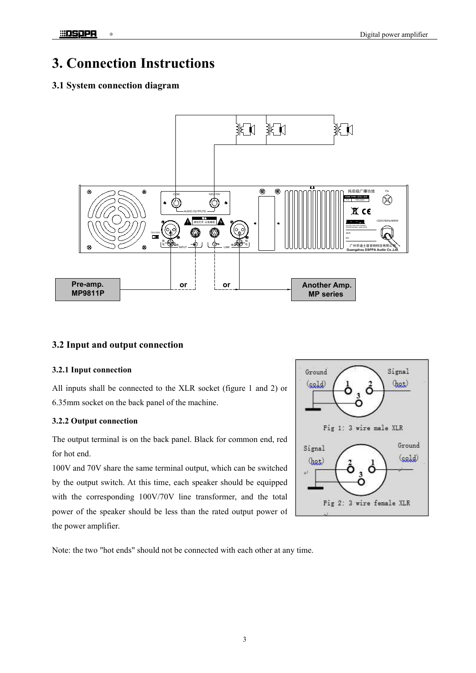## <span id="page-6-0"></span>**3. Connection Instructions**

#### <span id="page-6-1"></span>**3.1 System connection diagram**



#### <span id="page-6-2"></span>**3.2 Input and output connection**

#### <span id="page-6-3"></span>**3.2.1 Input connection**

All inputs shall be connected to the XLR socket (figure 1 and 2) or  $\left( \frac{\text{csold}}{2} \right)$ 6.35mm socket on the back panel of the machine.

#### <span id="page-6-4"></span>**3.2.2 Output connection**

The output terminal is on the back panel. Black for common end, red<br>
signal for hot end.

100V and 70V share the same terminal output, which can be switched  $\frac{(\text{heat})}{\sqrt{2}}$ by the output switch. At this time, each speaker should be equipped with the corresponding 100V/70V line transformer, and the total Fig 2: 3 wire female XLR power of the speaker should be less than the rated output power of the power amplifier.



Note: the two "hot ends" should not be connected with each other at any time.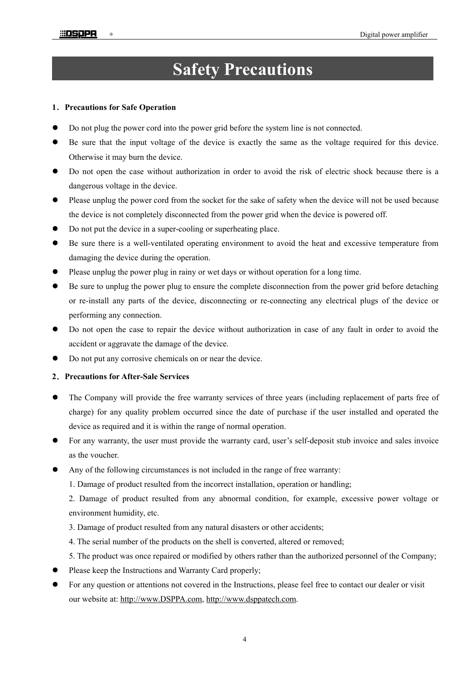## **Safety Precautions**

#### **1**.**Precautions for Safe Operation**

- Do not plug the power cord into the power grid before the system line is not connected.
- Be sure that the input voltage of the device is exactly the same as the voltage required for this device. Otherwise it may burn the device.
- Do not open the case without authorization in order to avoid the risk of electric shock because there is a dangerous voltage in the device.
- Please unplug the power cord from the socket for the sake of safety when the device will not be used because the device is not completely disconnected from the power grid when the device is powered off.
- Do not put the device in a super-cooling or superheating place.
- Be sure there is a well-ventilated operating environment to avoid the heat and excessive temperature from damaging the device during the operation.
- Please unplug the power plug in rainy or wet days or without operation for a long time.
- Be sure to unplug the power plug to ensure the complete disconnection from the power grid before detaching or re-install any parts of the device, disconnecting or re-connecting any electrical plugs of the device or performing any connection.
- Do not open the case to repair the device without authorization in case of any fault in order to avoid the accident or aggravate the damage of the device.
- Do not put any corrosive chemicals on or near the device.

#### **2**.**Precautions for After-Sale Services**

- The Company will provide the free warranty services of three years (including replacement of parts free of charge) for any quality problem occurred since the date of purchase if the userinstalled and operated the device as required and it is within the range of normal operation.
- For any warranty, the user must provide the warranty card, user's self-deposit stub invoice and sales invoice as the voucher.
- Any of the following circumstances is not included in the range of free warranty:
	- 1. Damage of product resulted from the incorrect installation, operation or handling;

2. Damage of product resulted from any abnormal condition, for example, excessive power voltage or environment humidity, etc.

- 3. Damage of product resulted from any natural disasters orother accidents;
- 4. The serial number of the products on the shell is converted, altered or removed;
- 5. The product was once repaired or modified by others rather than the authorized personnel of the Company;
- Please keep the Instructions and Warranty Card properly;
- For any question or attentions not covered in the Instructions, please feel free to contact our dealer or visit our website at: [http://www.DSPPA.com,](http://www.dsppa.com) [http://www.dsppatech.com.](http://www.dsppatech.com)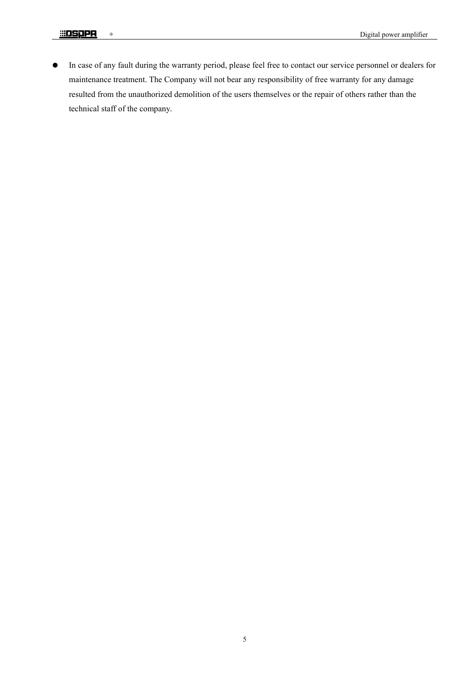In case of any fault during the warranty period, please feel free to contact our service personnel or dealers for maintenance treatment. The Company will not bear any responsibility of free warranty for any damage resulted from the unauthorized demolition of the users themselves or the repair of others rather than the technical staff of the company.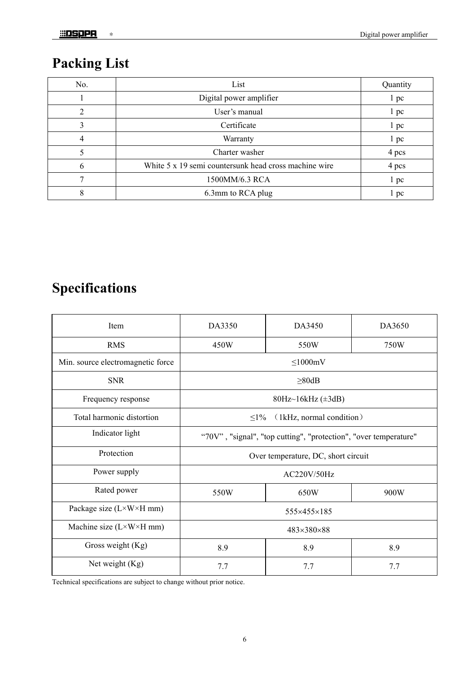## <span id="page-9-0"></span>**Packing List**

| No.          | List                                                  | Quantity        |
|--------------|-------------------------------------------------------|-----------------|
|              | Digital power amplifier                               | 1 pc            |
|              | User's manual                                         | 1~pc            |
|              | Certificate                                           | $1~\mathrm{pc}$ |
| 4            | Warranty                                              | 1 pc            |
|              | Charter washer                                        | 4 pcs           |
| <sub>t</sub> | White 5 x 19 semi countersunk head cross machine wire | 4 pcs           |
|              | 1500MM/6.3 RCA                                        | 1 pc            |
|              | 6.3mm to RCA plug                                     | 1~pc            |

## <span id="page-9-1"></span>**Specifications**

| Item                                    | DA3350                                                           | DA3450 | DA3650 |  |
|-----------------------------------------|------------------------------------------------------------------|--------|--------|--|
| <b>RMS</b>                              | 450W                                                             | 550W   | 750W   |  |
| Min. source electromagnetic force       | $\leq$ 1000mV                                                    |        |        |  |
| <b>SNR</b>                              | $\geq 80dB$                                                      |        |        |  |
| Frequency response                      | 80Hz~16kHz (±3dB)                                                |        |        |  |
| Total harmonic distortion               | (1kHz, normal condition)<br>$\leq1\%$                            |        |        |  |
| Indicator light                         | "70V", "signal", "top cutting", "protection", "over temperature" |        |        |  |
| Protection                              | Over temperature, DC, short circuit                              |        |        |  |
| Power supply                            | AC220V/50Hz                                                      |        |        |  |
| Rated power                             | 550W                                                             | 650W   | 900W   |  |
| Package size (L×W×H mm)                 | 555×455×185                                                      |        |        |  |
| Machine size $(L \times W \times H$ mm) | 483×380×88                                                       |        |        |  |
| Gross weight (Kg)                       | 8.9                                                              | 8.9    | 8.9    |  |
| Net weight (Kg)                         | 7.7                                                              | 7.7    | 7.7    |  |
|                                         |                                                                  |        |        |  |

Technical specifications are subject to change without prior notice.